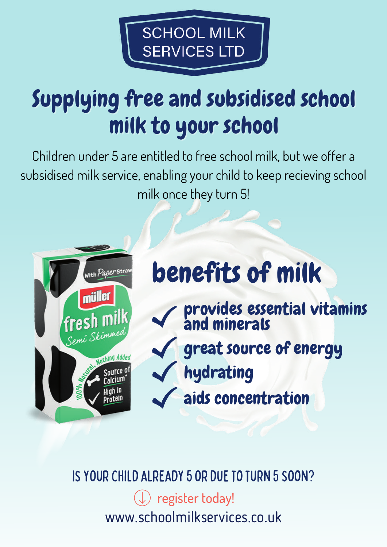

## Supplying free and subsidised school milk to your school

Children under 5 are entitled to free school milk, but we offer a subsidised milk service, enabling your child to keep recieving school milk once they turn 5!



### benefits of milk

- provides essential vitamins and minerals hydrating great source of energy
	- aids concentration

IS YOUR CHILD ALREADY 5 OR DUE TO TURN 5 SOON?

www.schoolmilkservices.co.uk register today!